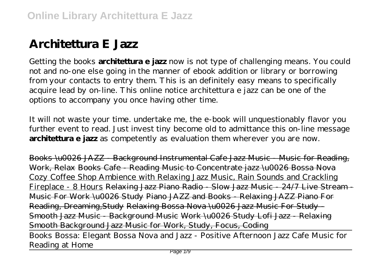# **Architettura E Jazz**

Getting the books **architettura e jazz** now is not type of challenging means. You could not and no-one else going in the manner of ebook addition or library or borrowing from your contacts to entry them. This is an definitely easy means to specifically acquire lead by on-line. This online notice architettura e jazz can be one of the options to accompany you once having other time.

It will not waste your time. undertake me, the e-book will unquestionably flavor you further event to read. Just invest tiny become old to admittance this on-line message **architettura e jazz** as competently as evaluation them wherever you are now.

Books \u0026 JAZZ - Background Instrumental Cafe Jazz Music - Music for Reading, Work, Relax Books Cafe - Reading Music to Concentrate jazz \u0026 Bossa Nova Cozy Coffee Shop Ambience with Relaxing Jazz Music, Rain Sounds and Crackling Fireplace - 8 Hours Relaxing Jazz Piano Radio - Slow Jazz Music - 24/7 Live Stream - Music For Work \u0026 Study Piano JAZZ and Books - Relaxing JAZZ Piano For Reading, Dreaming,Study Relaxing Bossa Nova \u0026 Jazz Music For Study - Smooth Jazz Music - Background Music Work \u0026 Study Lofi Jazz - Relaxing Smooth Background Jazz Music for Work, Study, Focus, Coding Books Bossa: Elegant Bossa Nova and Jazz - Positive Afternoon Jazz Cafe Music for Reading at Home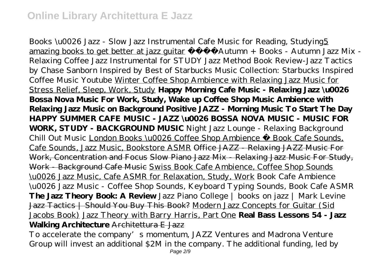Books \u0026 Jazz - Slow Jazz Instrumental Cafe Music for Reading, Studying5 amazing books to get better at jazz guitar Autumn + Books - Autumn Jazz Mix -Relaxing Coffee Jazz Instrumental for STUDY *Jazz Method Book Review-Jazz Tactics by Chase Sanborn Inspired by Best of Starbucks Music Collection: Starbucks Inspired Coffee Music Youtube* Winter Coffee Shop Ambience with Relaxing Jazz Music for Stress Relief, Sleep, Work, Study **Happy Morning Cafe Music - Relaxing Jazz \u0026 Bossa Nova Music For Work, Study, Wake up Coffee Shop Music Ambience with Relaxing Jazz Music on Background Positive JAZZ - Morning Music To Start The Day HAPPY SUMMER CAFE MUSIC - JAZZ \u0026 BOSSA NOVA MUSIC - MUSIC FOR WORK, STUDY - BACKGROUND MUSIC** *Night Jazz Lounge - Relaxing Background Chill Out Music* London Books \u0026 Coffee Shop Ambience Book Cafe Sounds, Cafe Sounds, Jazz Music, Bookstore ASMR Office JAZZ - Relaxing JAZZ Music For Work, Concentration and Focus Slow Piano Jazz Mix - Relaxing Jazz Music For Study, Work - Background Cafe Music Swiss Book Cafe Ambience, Coffee Shop Sounds \u0026 Jazz Music, Cafe ASMR for Relaxation, Study, Work *Book Cafe Ambience \u0026 Jazz Music - Coffee Shop Sounds, Keyboard Typing Sounds, Book Cafe ASMR* **The Jazz Theory Book: A Review** *Jazz Piano College | books on jazz | Mark Levine* Jazz Tactics | Should You Buy This Book? Modern Jazz Concepts for Guitar (Sid Jacobs Book) Jazz Theory with Barry Harris, Part One **Real Bass Lessons 54 - Jazz Walking Architecture** Architettura E Jazz

To accelerate the company's momentum, JAZZ Ventures and Madrona Venture Group will invest an additional \$2M in the company. The additional funding, led by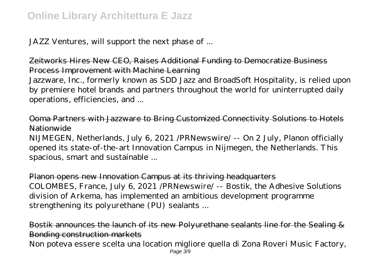JAZZ Ventures, will support the next phase of ...

Zeitworks Hires New CEO, Raises Additional Funding to Democratize Business Process Improvement with Machine Learning

Jazzware, Inc., formerly known as SDD Jazz and BroadSoft Hospitality, is relied upon by premiere hotel brands and partners throughout the world for uninterrupted daily operations, efficiencies, and ...

Ooma Partners with Jazzware to Bring Customized Connectivity Solutions to Hotels Nationwide

NIJMEGEN, Netherlands, July 6, 2021 /PRNewswire/ -- On 2 July, Planon officially opened its state-of-the-art Innovation Campus in Nijmegen, the Netherlands. This spacious, smart and sustainable ...

Planon opens new Innovation Campus at its thriving headquarters COLOMBES, France, July 6, 2021 /PRNewswire/ -- Bostik, the Adhesive Solutions division of Arkema, has implemented an ambitious development programme strengthening its polyurethane (PU) sealants ...

Bostik announces the launch of its new Polyurethane sealants line for the Sealing & Bonding construction markets

Non poteva essere scelta una location migliore quella di Zona Roveri Music Factory, Page 3/9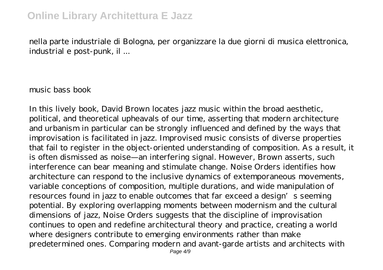nella parte industriale di Bologna, per organizzare la due giorni di musica elettronica, industrial e post-punk, il ...

music bass book

In this lively book, David Brown locates jazz music within the broad aesthetic, political, and theoretical upheavals of our time, asserting that modern architecture and urbanism in particular can be strongly influenced and defined by the ways that improvisation is facilitated in jazz. Improvised music consists of diverse properties that fail to register in the object-oriented understanding of composition. As a result, it is often dismissed as noise—an interfering signal. However, Brown asserts, such interference can bear meaning and stimulate change. Noise Orders identifies how architecture can respond to the inclusive dynamics of extemporaneous movements, variable conceptions of composition, multiple durations, and wide manipulation of resources found in jazz to enable outcomes that far exceed a design's seeming potential. By exploring overlapping moments between modernism and the cultural dimensions of jazz, Noise Orders suggests that the discipline of improvisation continues to open and redefine architectural theory and practice, creating a world where designers contribute to emerging environments rather than make predetermined ones. Comparing modern and avant-garde artists and architects with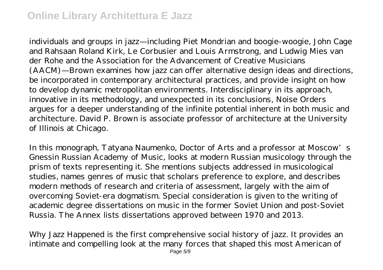individuals and groups in jazz—including Piet Mondrian and boogie-woogie, John Cage and Rahsaan Roland Kirk, Le Corbusier and Louis Armstrong, and Ludwig Mies van der Rohe and the Association for the Advancement of Creative Musicians (AACM)—Brown examines how jazz can offer alternative design ideas and directions, be incorporated in contemporary architectural practices, and provide insight on how to develop dynamic metropolitan environments. Interdisciplinary in its approach, innovative in its methodology, and unexpected in its conclusions, Noise Orders argues for a deeper understanding of the infinite potential inherent in both music and architecture. David P. Brown is associate professor of architecture at the University of Illinois at Chicago.

In this monograph, Tatyana Naumenko, Doctor of Arts and a professor at Moscow's Gnessin Russian Academy of Music, looks at modern Russian musicology through the prism of texts representing it. She mentions subjects addressed in musicological studies, names genres of music that scholars preference to explore, and describes modern methods of research and criteria of assessment, largely with the aim of overcoming Soviet-era dogmatism. Special consideration is given to the writing of academic degree dissertations on music in the former Soviet Union and post-Soviet Russia. The Annex lists dissertations approved between 1970 and 2013.

Why Jazz Happened is the first comprehensive social history of jazz. It provides an intimate and compelling look at the many forces that shaped this most American of Page 5/9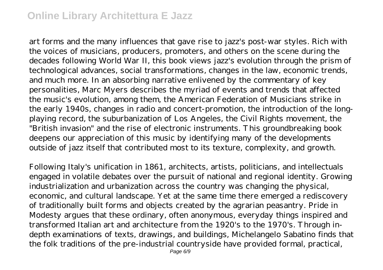art forms and the many influences that gave rise to jazz's post-war styles. Rich with the voices of musicians, producers, promoters, and others on the scene during the decades following World War II, this book views jazz's evolution through the prism of technological advances, social transformations, changes in the law, economic trends, and much more. In an absorbing narrative enlivened by the commentary of key personalities, Marc Myers describes the myriad of events and trends that affected the music's evolution, among them, the American Federation of Musicians strike in the early 1940s, changes in radio and concert-promotion, the introduction of the longplaying record, the suburbanization of Los Angeles, the Civil Rights movement, the "British invasion" and the rise of electronic instruments. This groundbreaking book deepens our appreciation of this music by identifying many of the developments outside of jazz itself that contributed most to its texture, complexity, and growth.

Following Italy's unification in 1861, architects, artists, politicians, and intellectuals engaged in volatile debates over the pursuit of national and regional identity. Growing industrialization and urbanization across the country was changing the physical, economic, and cultural landscape. Yet at the same time there emerged a rediscovery of traditionally built forms and objects created by the agrarian peasantry. Pride in Modesty argues that these ordinary, often anonymous, everyday things inspired and transformed Italian art and architecture from the 1920's to the 1970's. Through indepth examinations of texts, drawings, and buildings, Michelangelo Sabatino finds that the folk traditions of the pre-industrial countryside have provided formal, practical,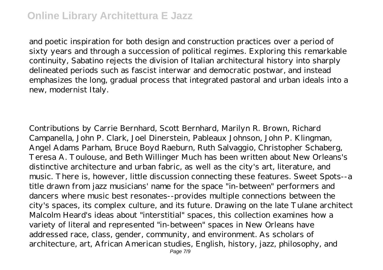and poetic inspiration for both design and construction practices over a period of sixty years and through a succession of political regimes. Exploring this remarkable continuity, Sabatino rejects the division of Italian architectural history into sharply delineated periods such as fascist interwar and democratic postwar, and instead emphasizes the long, gradual process that integrated pastoral and urban ideals into a new, modernist Italy.

Contributions by Carrie Bernhard, Scott Bernhard, Marilyn R. Brown, Richard Campanella, John P. Clark, Joel Dinerstein, Pableaux Johnson, John P. Klingman, Angel Adams Parham, Bruce Boyd Raeburn, Ruth Salvaggio, Christopher Schaberg, Teresa A. Toulouse, and Beth Willinger Much has been written about New Orleans's distinctive architecture and urban fabric, as well as the city's art, literature, and music. There is, however, little discussion connecting these features. Sweet Spots--a title drawn from jazz musicians' name for the space "in-between" performers and dancers where music best resonates--provides multiple connections between the city's spaces, its complex culture, and its future. Drawing on the late Tulane architect Malcolm Heard's ideas about "interstitial" spaces, this collection examines how a variety of literal and represented "in-between" spaces in New Orleans have addressed race, class, gender, community, and environment. As scholars of architecture, art, African American studies, English, history, jazz, philosophy, and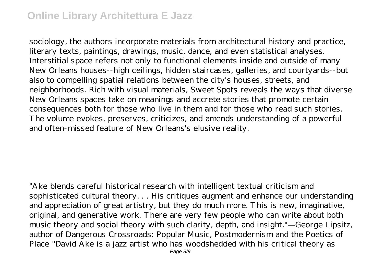sociology, the authors incorporate materials from architectural history and practice, literary texts, paintings, drawings, music, dance, and even statistical analyses. Interstitial space refers not only to functional elements inside and outside of many New Orleans houses--high ceilings, hidden staircases, galleries, and courtyards--but also to compelling spatial relations between the city's houses, streets, and neighborhoods. Rich with visual materials, Sweet Spots reveals the ways that diverse New Orleans spaces take on meanings and accrete stories that promote certain consequences both for those who live in them and for those who read such stories. The volume evokes, preserves, criticizes, and amends understanding of a powerful and often-missed feature of New Orleans's elusive reality.

"Ake blends careful historical research with intelligent textual criticism and sophisticated cultural theory. . . His critiques augment and enhance our understanding and appreciation of great artistry, but they do much more. This is new, imaginative, original, and generative work. There are very few people who can write about both music theory and social theory with such clarity, depth, and insight."—George Lipsitz, author of Dangerous Crossroads: Popular Music, Postmodernism and the Poetics of Place "David Ake is a jazz artist who has woodshedded with his critical theory as